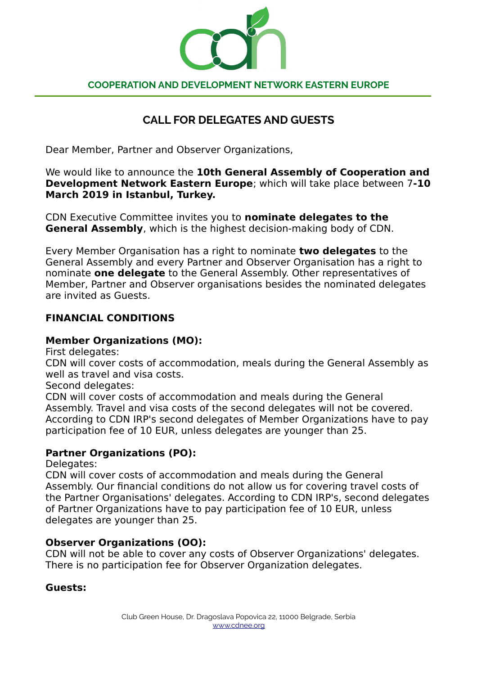

#### **COOPERATION AND DEVELOPMENT NETWORK EASTERN EUROPE**

# **CALL FOR DELEGATES AND GUESTS**

Dear Member, Partner and Observer Organizations,

We would like to announce the **10th General Assembly of Cooperation and Development Network Eastern Europe**; which will take place between 7**-10 March 2019 in Istanbul, Turkey.**

CDN Executive Committee invites you to **nominate delegates to the General Assembly**, which is the highest decision-making body of CDN.

Every Member Organisation has a right to nominate **two delegates** to the General Assembly and every Partner and Observer Organisation has a right to nominate **one delegate** to the General Assembly. Other representatives of Member, Partner and Observer organisations besides the nominated delegates are invited as Guests.

## **FINANCIAL CONDITIONS**

### **Member Organizations (MO):**

First delegates:

CDN will cover costs of accommodation, meals during the General Assembly as well as travel and visa costs.

Second delegates:

CDN will cover costs of accommodation and meals during the General Assembly. Travel and visa costs of the second delegates will not be covered. According to CDN IRP's second delegates of Member Organizations have to pay participation fee of 10 EUR, unless delegates are younger than 25.

#### **Partner Organizations (PO):**

Delegates:

CDN will cover costs of accommodation and meals during the General Assembly. Our financial conditions do not allow us for covering travel costs of the Partner Organisations' delegates. According to CDN IRP's, second delegates of Partner Organizations have to pay participation fee of 10 EUR, unless delegates are younger than 25.

#### **Observer Organizations (OO):**

CDN will not be able to cover any costs of Observer Organizations' delegates. There is no participation fee for Observer Organization delegates.

#### **Guests:**